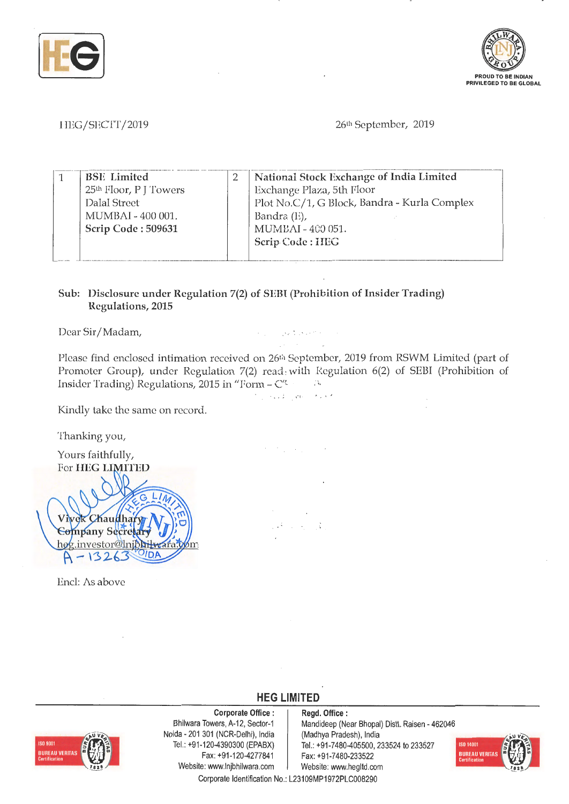



HEG/SECfT/2019

26th September, 2019

| National Stock Exchange of India Limited<br><b>BSE</b> Limited<br>25th Floor, P J Towers<br>Exchange Plaza, 5th Floor<br>Plot No.C/1, G Block, Bandra - Kurla Complex<br>Dalal Street<br>Bandra $(E)$ ,<br>MUMBAI - 400 001.<br>MUMBAI - 400 051.<br>Scrip Code: 509631<br>Scrip Code: HEG |
|--------------------------------------------------------------------------------------------------------------------------------------------------------------------------------------------------------------------------------------------------------------------------------------------|
|--------------------------------------------------------------------------------------------------------------------------------------------------------------------------------------------------------------------------------------------------------------------------------------------|

## **Sub: Disclosure under Regulation 7(2) of SEBI (Prohibition of Insider Trading) Regulations, 2015**

Dear Sir/ Madam,

Please find enclosed intimation received on 26<sup>th</sup> September, 2019 from RSWM Limited (part of Promoter Group), under Regulation 7(2) read: with Regulation 6(2) of SEBI (Prohibition of Insider Trading) Regulations, 2015 in "Form - C'!.  $\sim$  75

Proposition of the State State

, " I • • *• <sup>I</sup> <sup>I</sup>*

 $\mathcal{O}(\mathcal{O}_{\mathcal{A}})$  ,  $\mathcal{O}(\mathcal{O}_{\mathcal{A}})$ 

ί¢.  $\mathcal{A} \rightarrow \mathcal{A}$ 

Kindly take the same on record.

Thanking you,

Yours faithfully, For **HEG LIMITED** Vivek Chaudhary **Company Secre** hog.investor@lnjbht 13 2

Encl: As above



**Corporate Office** : Bhilwara Towers, A-12, Sector-1 Noida - 201 301 (NCR-Delhi), India Tel.: +91 -120-4390300 (EPABX) Fax: +91-120-4277841 Website: www.lnjbhilwara.com | Website: www.hegltd.com

**Regd. Office** : Mandideep (Near Bhopal) Distt. Raisen - 462046 (Madhya Pradesh), India Tel.: +91-7480-405500, 233524 to 233527 Fax: +91-7480-233522



Corporate Identification No.: L23109MP1972PLC008290

**HEG LIMITED**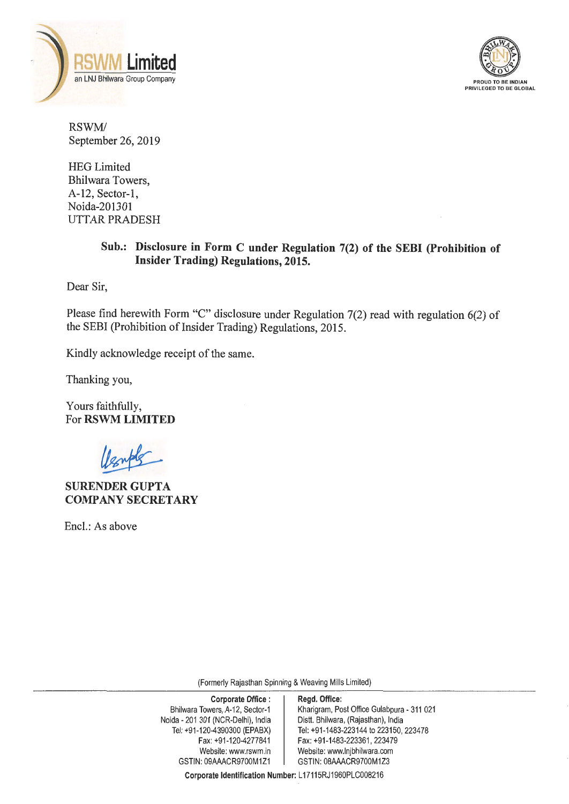



RSWM/ September 26, 2019

HEG Limited Bhilwara Towers, A-12, Sector-I, Noida-201301 UTTAR PRADESH

# **Sub.: Disclosure in Form C under Regulation 7(2) of the SEBI (Prohibition of Insider Trading) Regulations, 2015.**

Dear Sir,

Please find herewith Form "C" disclosure under Regulation 7(2) read with regulation 6(2) of the SEBI (Prohibition of Insider Trading) Regulations, 2015.

Kindly acknowledge receipt of the same.

Thanking you,

Yours faithfully, For **RSWM LIMITED** 

**SURENDERGUPTA COMPANY SECRETARY** 

Encl.: As above

(Formerly Rajasthan Spinning & Weaving Mills Limited)

Corporate Office : | Regd. Office: Bhilwara Towers, A-12, Sector-1 Kharigram, Post Office Gulabpura - 311 021<br>
ida - 201 301 (NCR-Delhi), India Distt. Bhilwara, (Rajasthan), India Noida - 201 301 (NCR-Delhi), India Tel: +91 -120-4390300 (EPABX) Tel: +91 -1483-223144 to 223150, 223478 Fax: +91-120-4277841 | Fax: +91-1483-223361, 223479 Website: www.rswm.in | Website: www.lnjbhilwara.com GSTIN: 09AAACR9700M1Z1 GSTIN: 08AAACR9700M1Z3

**Corporate Identification Number:** L 17115RJ1960PLC008216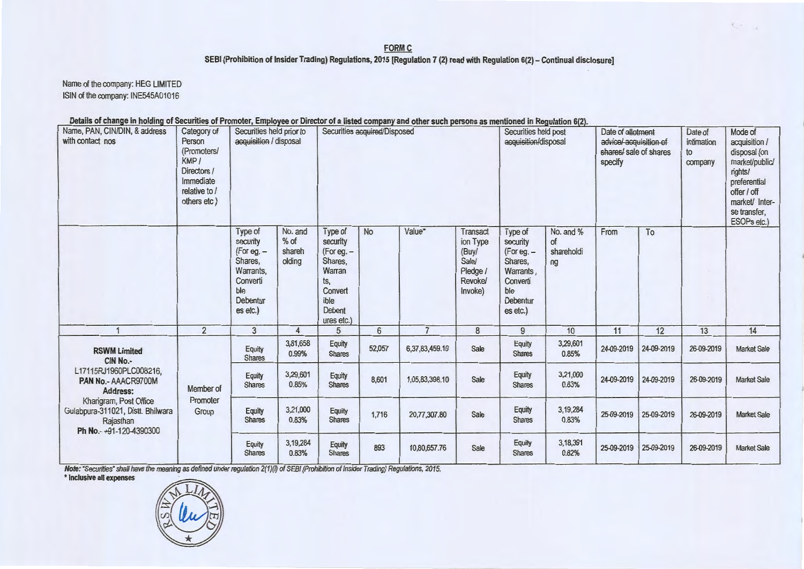#### FORM C SEBI (Prohibition of Insider Trading) Regulations, 2015 [Regulation 7 (2) read with Regulation 6(2) - Continual disclosure]

 $C^2$ 

Name of the company: HEG LIMITED ISIN of the company: INE545A01016

#### Details of change in holding of Securities of Promoter, Employee or Director of a listed company and other such persons as mentioned in Regulation 6(2).

| Name, PAN, CIN/DIN, & address<br>with contact nos                                                                                                                                                 | Category of<br>Person<br>(Promoters/<br>KMP/<br>Directors /<br>Immediate<br>relative to /<br>others etc) | Securities held prior to<br>acquisition / disposal                                                   |                                       | Securities acquired/Disposed                                                                             |                 |                | Securities held post<br>acquisition/disposal                             |                                                                                                      | Date of allotment<br>advice/ acquisition of<br>shares/ sale of shares<br>specify |            | Date of<br>intimation<br>to<br>company | Mode of<br>acquisition /<br>disposal (on<br>market/public/<br>rights/<br>preferential<br>offer / off<br>market/ Inter-<br>se transfer,<br>ESOPs etc.) |                    |
|---------------------------------------------------------------------------------------------------------------------------------------------------------------------------------------------------|----------------------------------------------------------------------------------------------------------|------------------------------------------------------------------------------------------------------|---------------------------------------|----------------------------------------------------------------------------------------------------------|-----------------|----------------|--------------------------------------------------------------------------|------------------------------------------------------------------------------------------------------|----------------------------------------------------------------------------------|------------|----------------------------------------|-------------------------------------------------------------------------------------------------------------------------------------------------------|--------------------|
|                                                                                                                                                                                                   |                                                                                                          | Type of<br>security<br>(For eg. -<br>Shares,<br>Warrants,<br>Converti<br>ble<br>Debentur<br>es etc.) | No. and<br>$%$ of<br>shareh<br>olding | Type of<br>security<br>(For eg. -<br>Shares,<br>Warran<br>ts,<br>Convert<br>ible<br>Debent<br>ures etc.) | <b>No</b>       | Value*         | Transact<br>ion Type<br>(Buy/<br>Sale/<br>Pledge /<br>Revoke/<br>Invoke) | Type of<br>security<br>(For eg. -<br>Shares.<br>Warrants,<br>Converti<br>ble<br>Debentur<br>es etc.) | No. and %<br>of<br>shareholdi<br>ng                                              | From       | To                                     |                                                                                                                                                       |                    |
|                                                                                                                                                                                                   | $\overline{2}$                                                                                           | 3                                                                                                    | $\overline{4}$                        | 5                                                                                                        | $6\overline{6}$ | $\overline{7}$ | 8                                                                        | 9                                                                                                    | 10                                                                               | 11         | 12                                     | 13                                                                                                                                                    | 14                 |
| <b>RSWM Limited</b><br>CIN No.-<br>L17115RJ1960PLC008216,<br>PAN No.- AAACR9700M<br>Address:<br>Khangram, Post Office<br>Gulabpura-311021, Distt. Bhilwara<br>Rajasthan<br>Ph No.-+91-120-4390300 | Member of<br>Promoter<br>Group                                                                           | Equity<br><b>Shares</b>                                                                              | 3,81,658<br>0.99%                     | Equity<br><b>Shares</b>                                                                                  | 52,057          | 6,37,83,459.10 | Sale                                                                     | Equity<br><b>Shares</b>                                                                              | 3,29,601<br>0.85%                                                                | 24-09-2019 | 24-09-2019                             | 26-09-2019                                                                                                                                            | <b>Market Sale</b> |
|                                                                                                                                                                                                   |                                                                                                          | Equity<br><b>Shares</b>                                                                              | 3,29,601<br>0.85%                     | Equity<br><b>Shares</b>                                                                                  | 8,601           | 1,05,83,398.10 | Sale                                                                     | Equity<br><b>Shares</b>                                                                              | 3,21,000<br>0.83%                                                                | 24-09-2019 | 24-09-2019                             | 26-09-2019                                                                                                                                            | <b>Market Sale</b> |
|                                                                                                                                                                                                   |                                                                                                          | Equity<br><b>Shares</b>                                                                              | 3,21,000<br>0.83%                     | Equity<br><b>Shares</b>                                                                                  | 1,716           | 20,77,307.80   | Sale                                                                     | Equity<br><b>Shares</b>                                                                              | 3,19,284<br>0.83%                                                                | 25-09-2019 | 25-09-2019                             | 26-09-2019                                                                                                                                            | <b>Market Sale</b> |
|                                                                                                                                                                                                   |                                                                                                          | Equity<br><b>Shares</b>                                                                              | 3,19,284<br>0.83%                     | Equity<br><b>Shares</b>                                                                                  | 893             | 10,80,657.76   | Sale                                                                     | <b>Equity</b><br><b>Shares</b>                                                                       | 3,18,391<br>0.82%                                                                | 25-09-2019 | 25-09-2019                             | 26-09-2019                                                                                                                                            | <b>Market Sale</b> |

Note: "Securities" shall have the meaning as defined under regulation 2(1)(i) of SEBI (Prohibition of Insider Trading) Regulations, 2015.

\* Inclusive all expenses